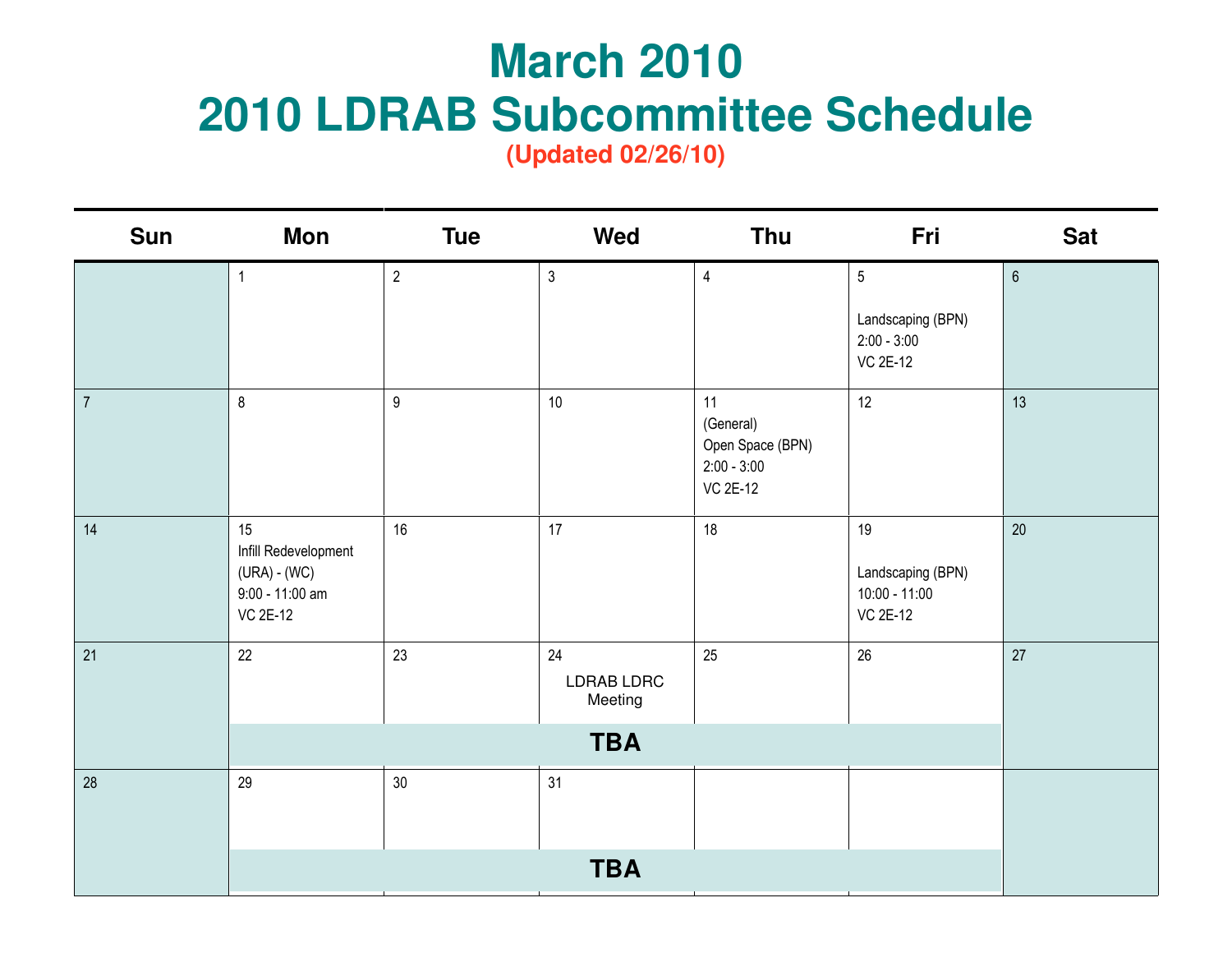## **March 2010<br>2010 LDRAB Subcommittee Schedule**

| <b>Sun</b>     | <b>Mon</b>                                                                       | <b>Tue</b>       | Wed                                       | Thu                                                                     | Fri                                                                     | <b>Sat</b>     |
|----------------|----------------------------------------------------------------------------------|------------------|-------------------------------------------|-------------------------------------------------------------------------|-------------------------------------------------------------------------|----------------|
|                | $\mathbf{1}$                                                                     | $\overline{2}$   | $\mathfrak{Z}$                            | $\overline{4}$                                                          | $\overline{5}$<br>Landscaping (BPN)<br>$2:00 - 3:00$<br><b>VC 2E-12</b> | $6\phantom{a}$ |
| $\overline{7}$ | $\,8\,$                                                                          | $\boldsymbol{9}$ | 10                                        | 11<br>(General)<br>Open Space (BPN)<br>$2:00 - 3:00$<br><b>VC 2E-12</b> | 12                                                                      | 13             |
| 14             | 15<br>Infill Redevelopment<br>(URA) - (WC)<br>9:00 - 11:00 am<br><b>VC 2E-12</b> | 16               | 17                                        | 18                                                                      | 19<br>Landscaping (BPN)<br>$10:00 - 11:00$<br><b>VC 2E-12</b>           | $20\degree$    |
| 21             | 22                                                                               | 23               | 24<br>LDRAB LDRC<br>Meeting<br><b>TBA</b> | 25                                                                      | 26                                                                      | 27             |
| 28             | 29                                                                               | $30\,$           | 31                                        |                                                                         |                                                                         |                |
|                |                                                                                  |                  |                                           |                                                                         |                                                                         |                |
|                |                                                                                  |                  | <b>TBA</b>                                |                                                                         |                                                                         |                |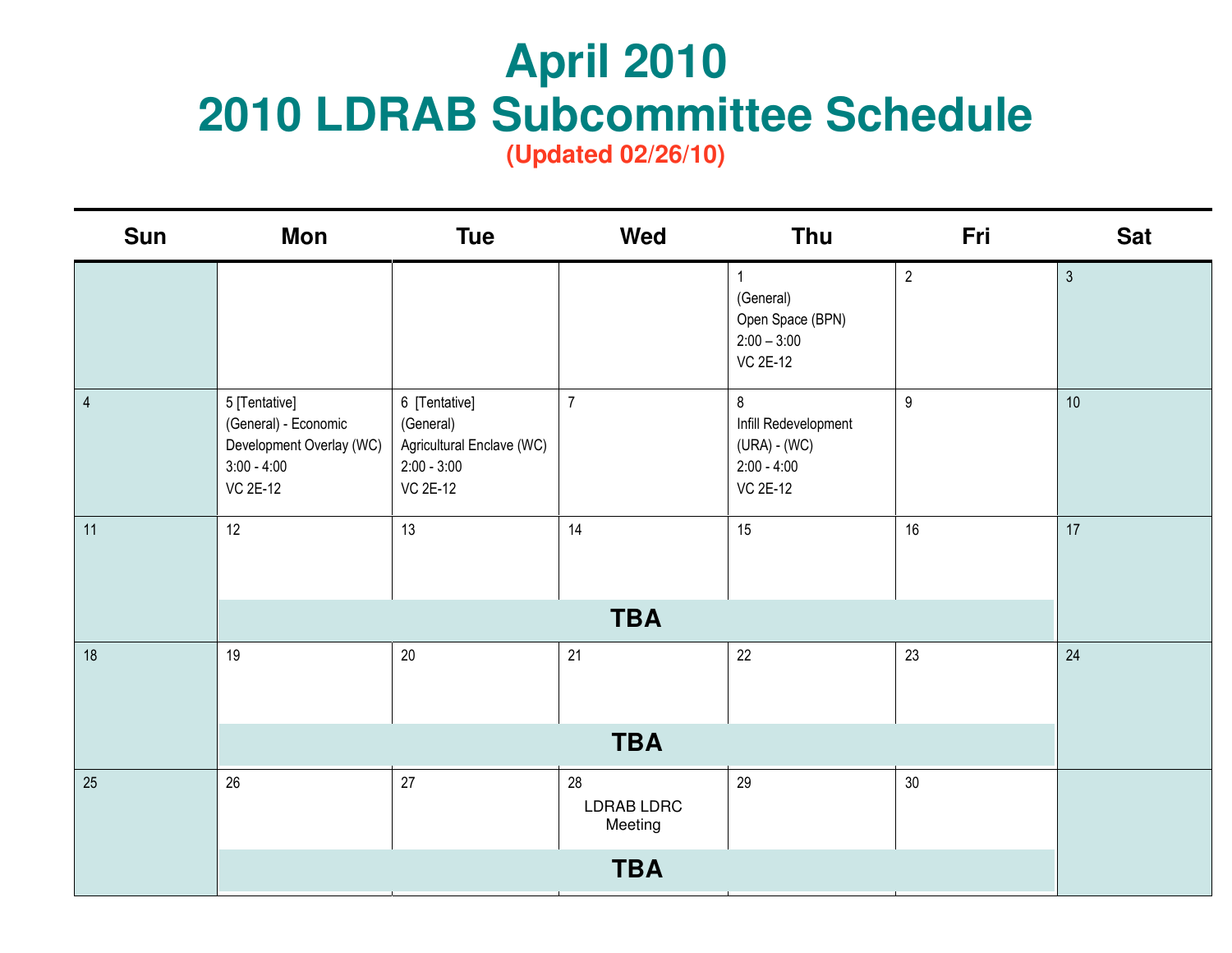## **April 2010<br>2010 LDRAB Subcommittee Schedule**

| <b>Sun</b>     | <b>Mon</b>                                                                                            | <b>Tue</b>                                                                                  | Wed                         | Thu                                                                               | Fri             | <b>Sat</b>     |
|----------------|-------------------------------------------------------------------------------------------------------|---------------------------------------------------------------------------------------------|-----------------------------|-----------------------------------------------------------------------------------|-----------------|----------------|
|                |                                                                                                       |                                                                                             |                             | $\mathbf{1}$<br>(General)<br>Open Space (BPN)<br>$2:00 - 3:00$<br><b>VC 2E-12</b> | $\overline{2}$  | $\mathfrak{Z}$ |
| $\overline{4}$ | 5 [Tentative]<br>(General) - Economic<br>Development Overlay (WC)<br>$3:00 - 4:00$<br><b>VC 2E-12</b> | 6 [Tentative]<br>(General)<br>Agricultural Enclave (WC)<br>$2:00 - 3:00$<br><b>VC 2E-12</b> | $\overline{7}$              | 8<br>Infill Redevelopment<br>$(URA) - (WC)$<br>$2:00 - 4:00$<br><b>VC 2E-12</b>   | 9               | 10             |
| 11             | 12                                                                                                    | 13                                                                                          | 14                          | 15                                                                                | 16              | 17             |
|                |                                                                                                       |                                                                                             | <b>TBA</b>                  |                                                                                   |                 |                |
| 18             | 19                                                                                                    | $20\,$                                                                                      | 21                          | 22                                                                                | 23              | 24             |
|                |                                                                                                       |                                                                                             | <b>TBA</b>                  |                                                                                   |                 |                |
| 25             | 26                                                                                                    | 27                                                                                          | 28<br>LDRAB LDRC<br>Meeting | 29                                                                                | 30 <sup>°</sup> |                |
|                |                                                                                                       |                                                                                             | <b>TBA</b>                  |                                                                                   |                 |                |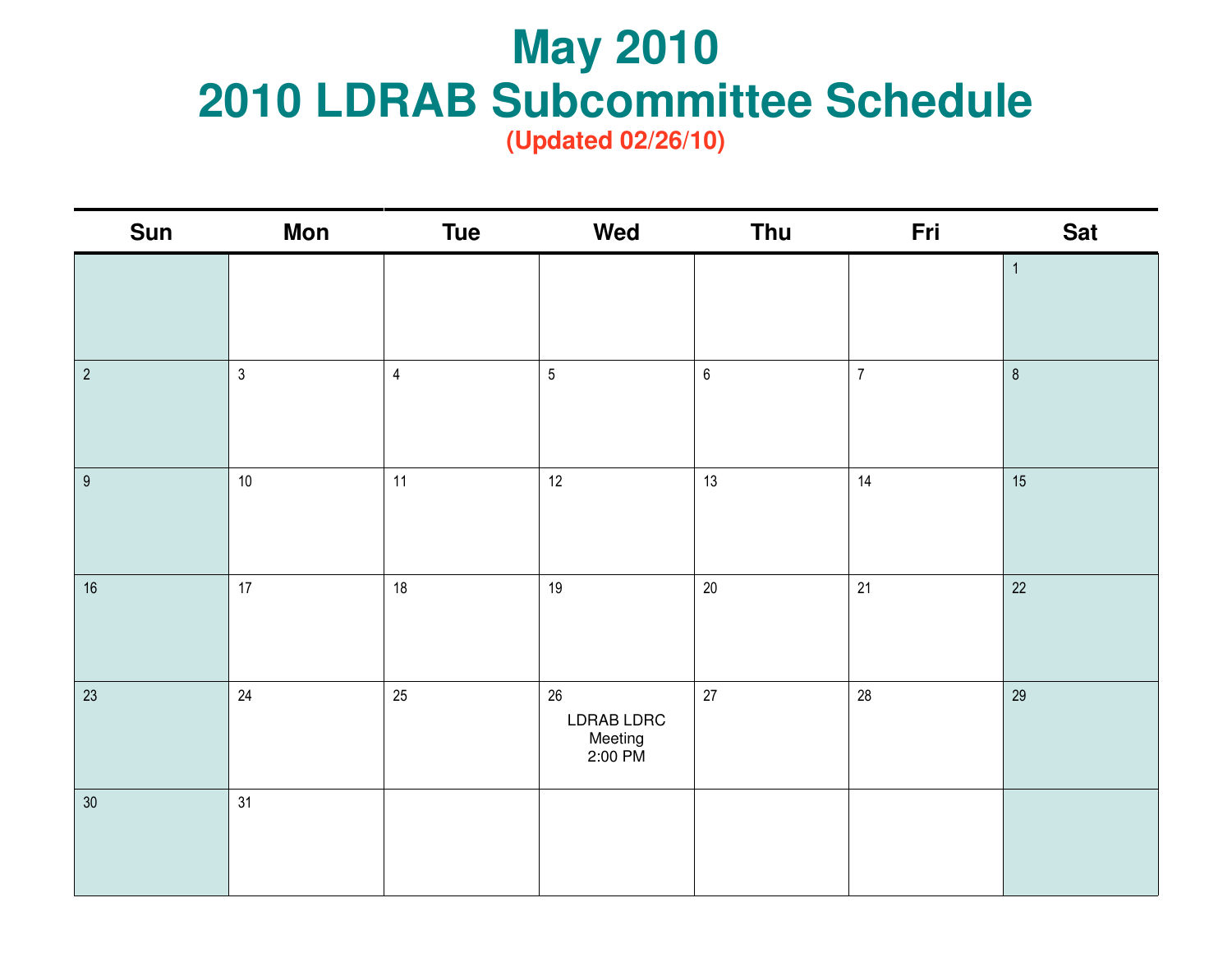# **May 2010 May 2010 2010 LDRAB Subcommittee Schedule**

| <b>Sun</b>       | <b>Mon</b>     | <b>Tue</b>     | Wed                                    | Thu     | Fri            | <b>Sat</b>   |
|------------------|----------------|----------------|----------------------------------------|---------|----------------|--------------|
|                  |                |                |                                        |         |                | $\mathbf{1}$ |
|                  |                |                |                                        |         |                |              |
| $\overline{2}$   | $\mathfrak{Z}$ | $\overline{4}$ | $\overline{5}$                         | $\,6\,$ | $\overline{7}$ | $\, 8$       |
| $\boldsymbol{9}$ | $10$           | 11             | 12                                     | 13      | 14             | 15           |
| $16\,$           | 17             | 18             | 19                                     | $20\,$  | 21             | $22\,$       |
| 23               | 24             | 25             | 26<br>LDRAB LDRC<br>Meeting<br>2:00 PM | $27\,$  | 28             | 29           |
| 30 <sup>°</sup>  | 31             |                |                                        |         |                |              |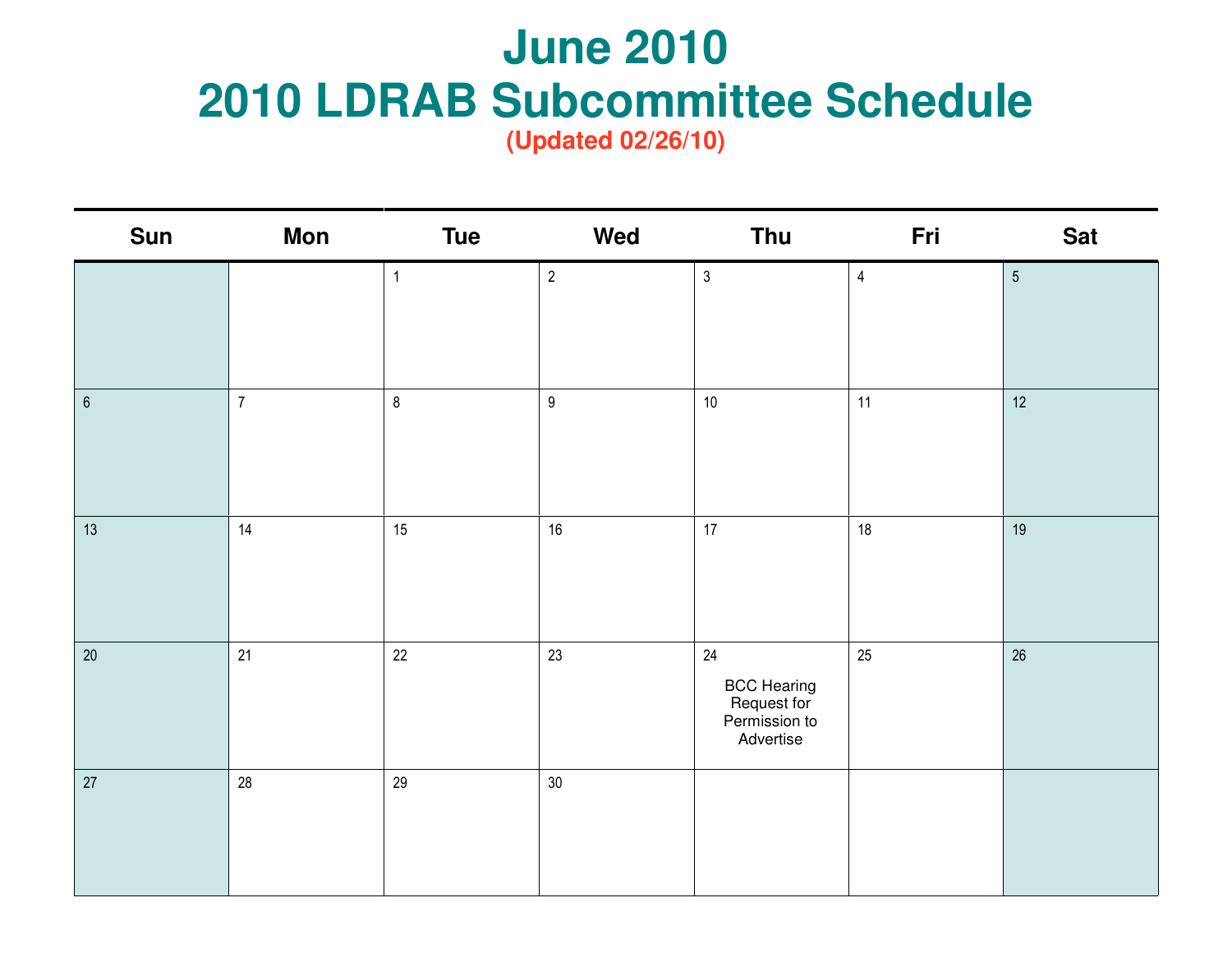### **June 2010 June 2010 2010 LDRAB Subcommittee Schedule**

| <b>Sun</b>       | Mon            | <b>Tue</b>     | Wed              | <b>Thu</b>                                                            | Fri            | <b>Sat</b>      |
|------------------|----------------|----------------|------------------|-----------------------------------------------------------------------|----------------|-----------------|
|                  |                | $\overline{1}$ | $\overline{2}$   | $\mathfrak{Z}$                                                        | $\overline{4}$ | $5\overline{)}$ |
| $\boldsymbol{6}$ | $\overline{7}$ | $\bf 8$        | $\boldsymbol{9}$ | $10\,$                                                                | 11             | 12 <sup>°</sup> |
| 13               | 14             | 15             | 16               | 17                                                                    | 18             | 19              |
| $20\,$           | 21             | 22             | 23               | 24<br><b>BCC Hearing</b><br>Request for<br>Permission to<br>Advertise | 25             | 26              |
| 27               | 28             | 29             | 30 <sup>°</sup>  |                                                                       |                |                 |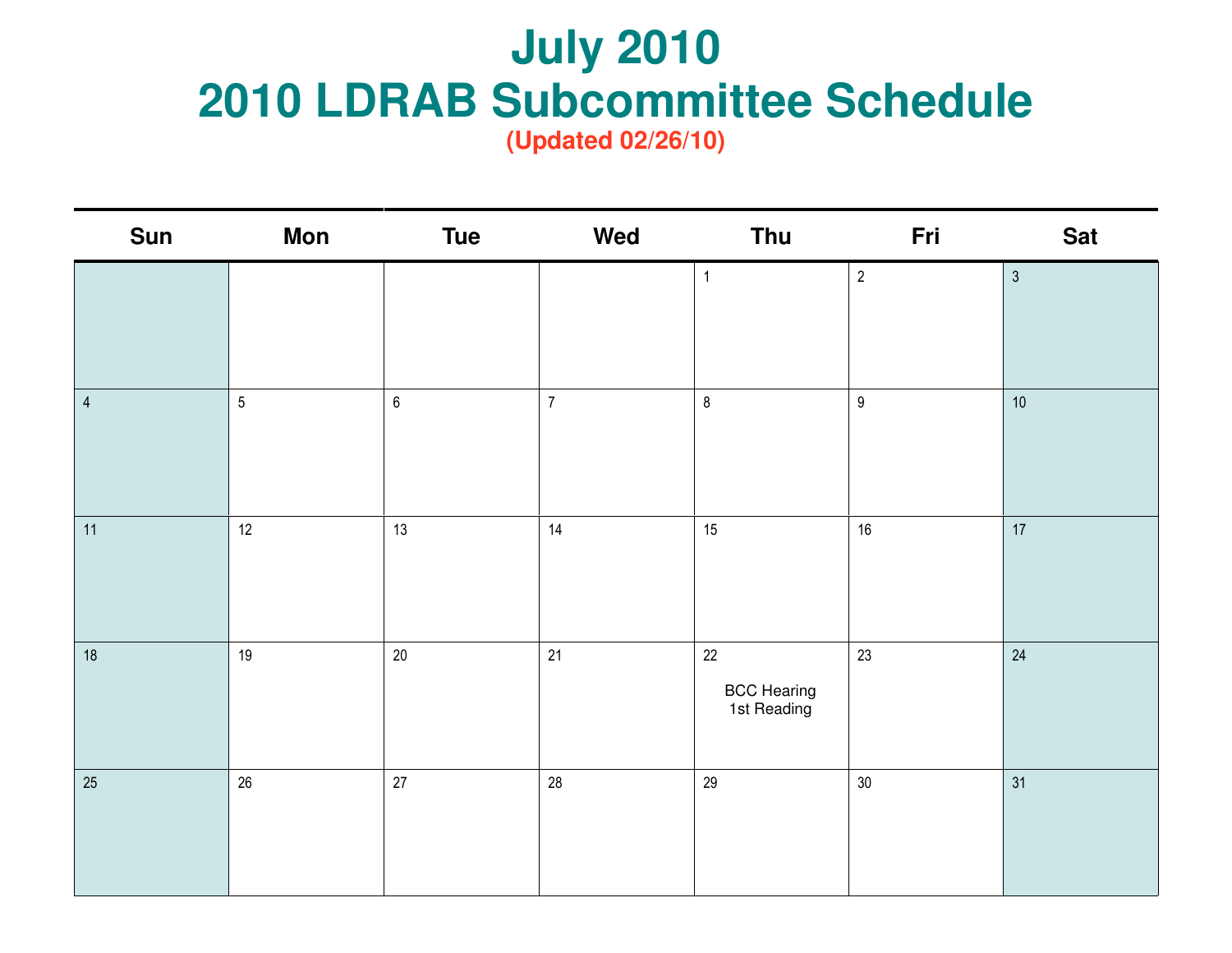# **July 2010 July 2010 2010 LDRAB Subcommittee Schedule**

| Sun            | Mon        | <b>Tue</b> | Wed            | <b>Thu</b>                                  | Fri              | <b>Sat</b>     |
|----------------|------------|------------|----------------|---------------------------------------------|------------------|----------------|
|                |            |            |                | $\mathbf{1}$                                | $\overline{2}$   | $\mathfrak{Z}$ |
| $\overline{4}$ | $\sqrt{5}$ | $\,6\,$    | $\overline{7}$ | $\, 8$                                      | $\boldsymbol{9}$ | $10\,$         |
| 11             | 12         | 13         | 14             | 15                                          | $16\,$           | 17             |
| $18$           | 19         | 20         | 21             | $22\,$<br><b>BCC Hearing</b><br>1st Reading | 23               | 24             |
| 25             | 26         | 27         | 28             | 29                                          | $30\,$           | 31             |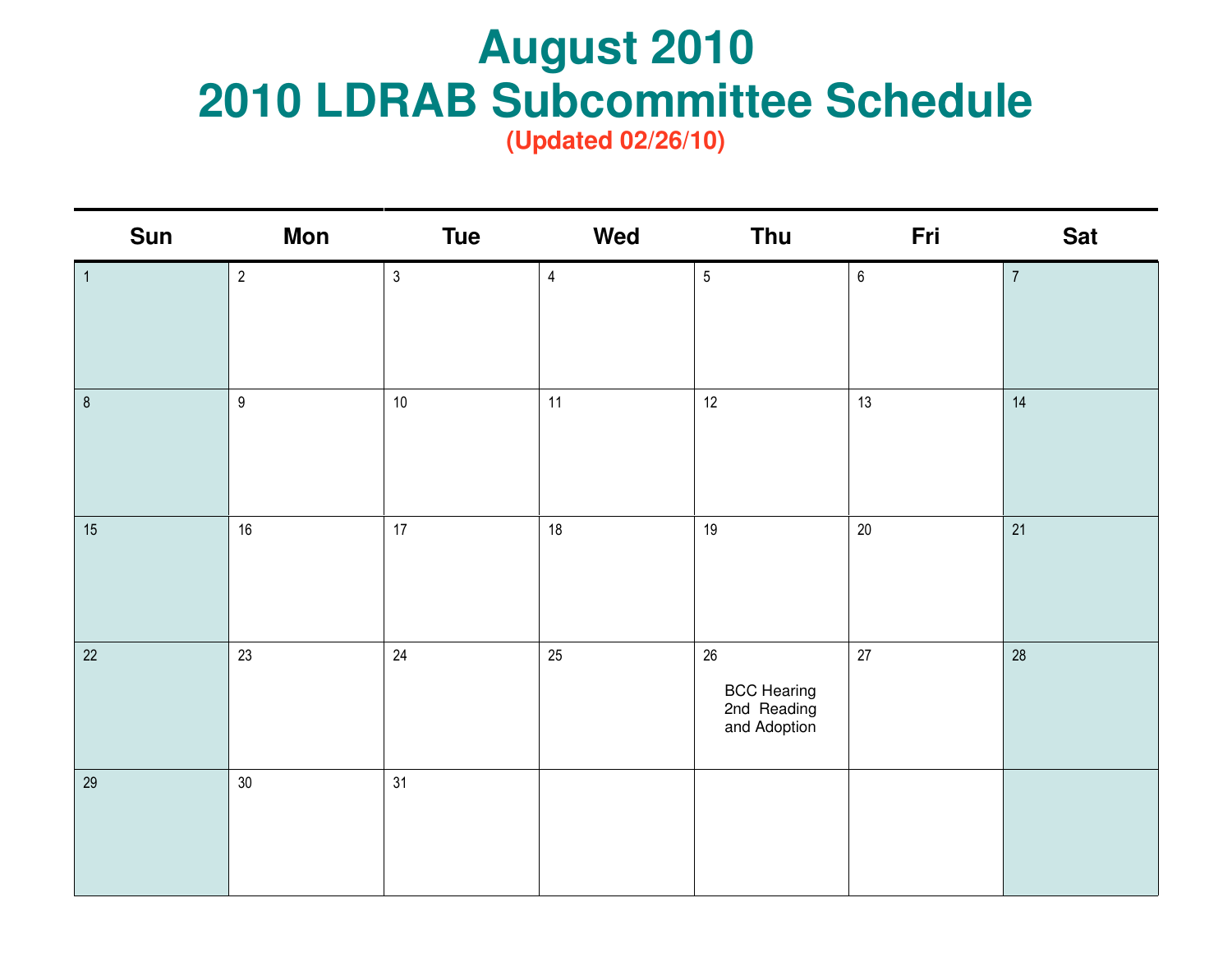# **August 2010 August 2010 2010 LDRAB Subcommittee Schedule**

| <b>Sun</b>     | Mon            | <b>Tue</b>     | Wed            | <b>Thu</b>                                           | Fri     | <b>Sat</b>     |
|----------------|----------------|----------------|----------------|------------------------------------------------------|---------|----------------|
| $\overline{1}$ | $\overline{2}$ | $\mathfrak{Z}$ | $\overline{4}$ | $\sqrt{5}$                                           | $\,6\,$ | $\overline{7}$ |
| $\bf 8$        | $9\,$          | $10$           | 11             | 12                                                   | 13      | 14             |
| 15             | $16\,$         | 17             | 18             | 19                                                   | $20\,$  | 21             |
| 22             | 23             | 24             | 25             | $26\,$<br>BCC Hearing<br>2nd Reading<br>and Adoption | 27      | 28             |
| 29             | $30\,$         | 31             |                |                                                      |         |                |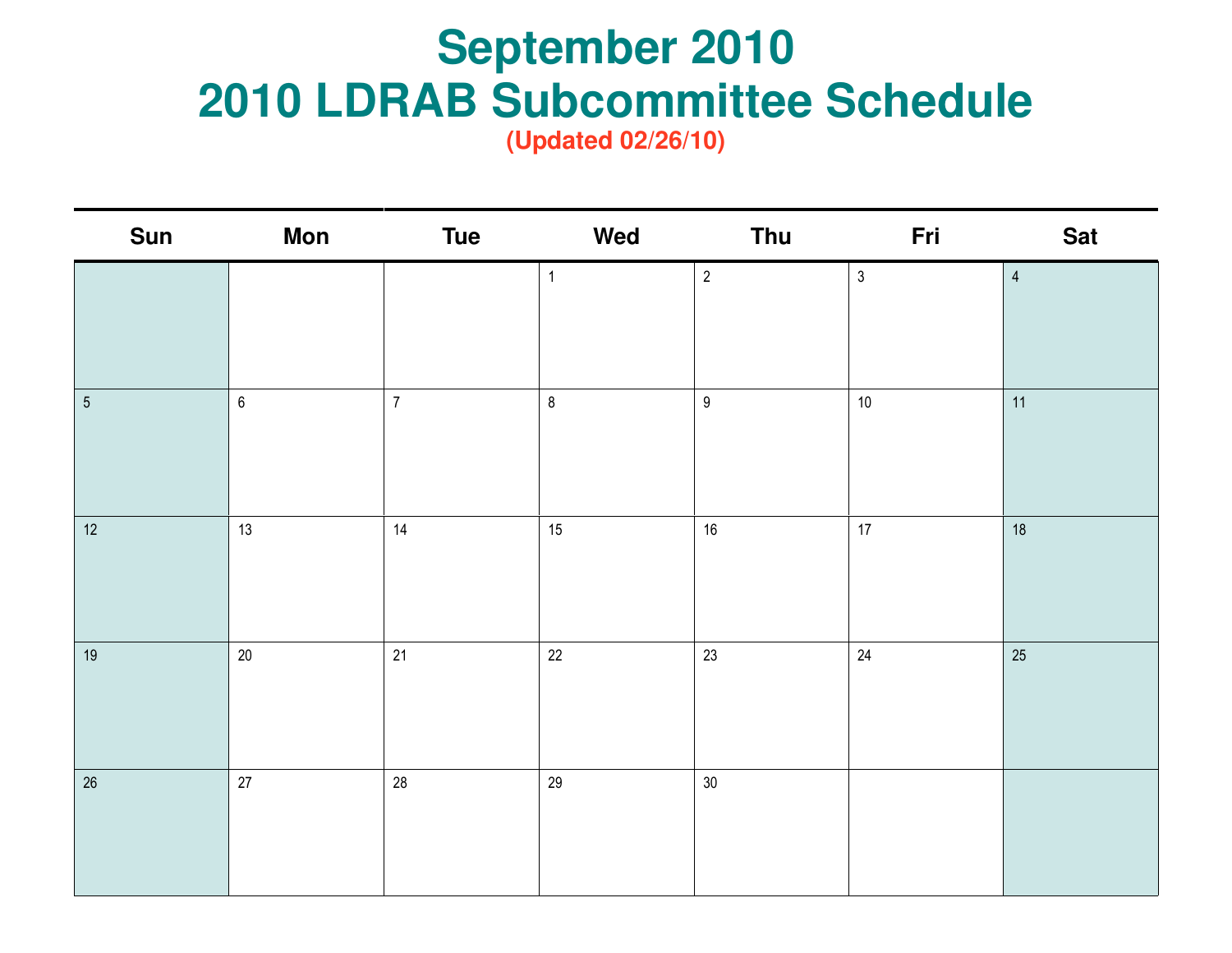# **September 2010 September 2010 2010 LDRAB Subcommittee Schedule**

| <b>Sun</b>     | <b>Mon</b> | <b>Tue</b>       | Wed          | Thu              | Fri        | <b>Sat</b>     |
|----------------|------------|------------------|--------------|------------------|------------|----------------|
|                |            |                  | $\mathbf{1}$ | $\sqrt{2}$       | $\sqrt{3}$ | $\overline{4}$ |
|                |            |                  |              |                  |            |                |
| $\overline{5}$ | $\,6\,$    | $\boldsymbol{7}$ | $\bf 8$      | $\boldsymbol{9}$ | $10$       | 11             |
|                |            |                  |              |                  |            |                |
| 12             | 13         | 14               | 15           | 16               | 17         | 18             |
|                |            |                  |              |                  |            |                |
| $19$           | 20         | 21               | $22\,$       | 23               | 24         | 25             |
|                |            |                  |              |                  |            |                |
| 26             | 27         | $28\,$           | 29           | $30\,$           |            |                |
|                |            |                  |              |                  |            |                |
|                |            |                  |              |                  |            |                |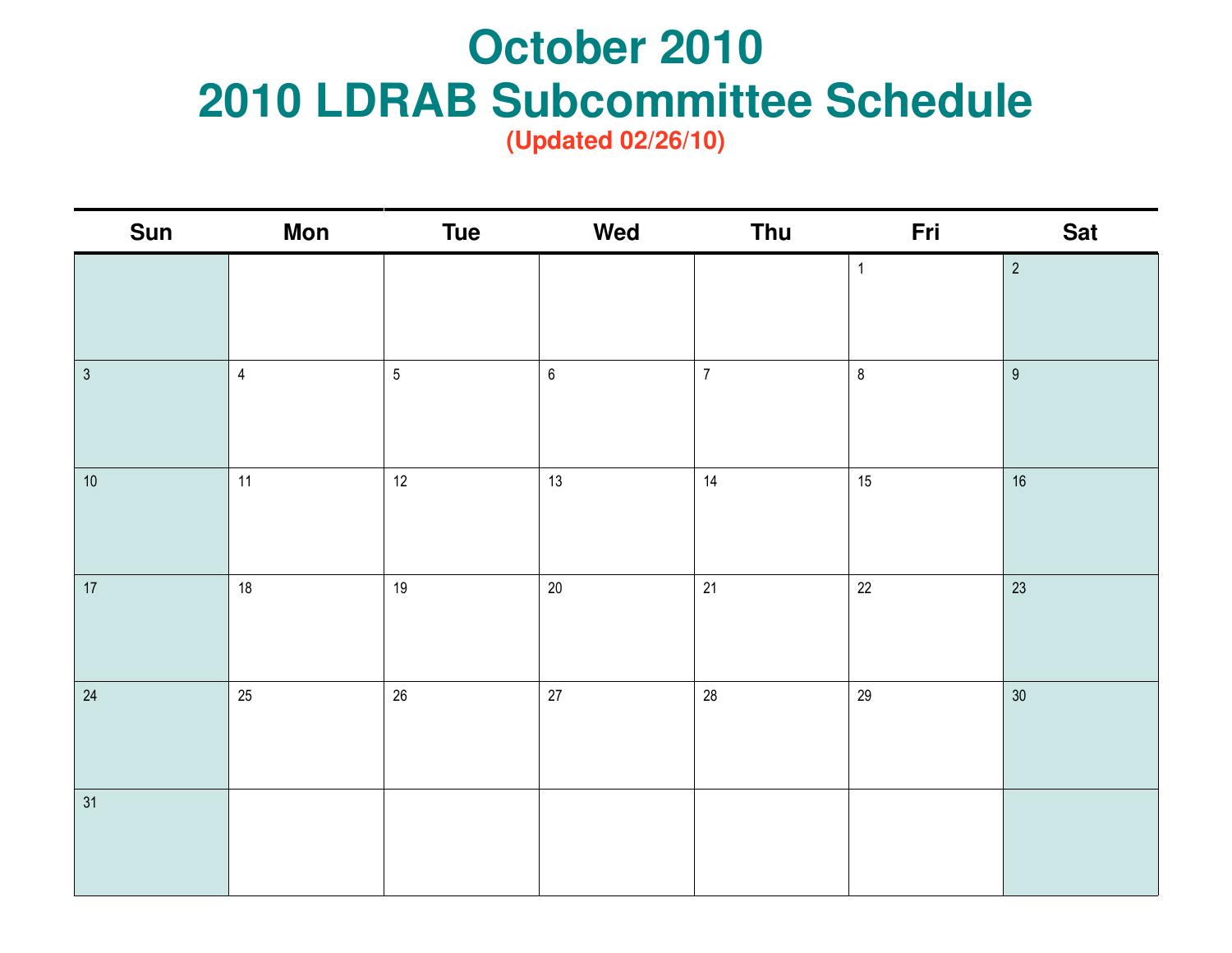#### **Subcommitte October 2010 2010 LDRAB Subcommittee Schedule**

| <b>Sun</b>   | <b>Mon</b>     | <b>Tue</b> | Wed              | Thu            | Fri          | <b>Sat</b>      |
|--------------|----------------|------------|------------------|----------------|--------------|-----------------|
|              |                |            |                  |                | $\mathbf{1}$ | $\overline{2}$  |
|              |                |            |                  |                |              |                 |
| $\mathbf{3}$ | $\overline{4}$ | $\sqrt{5}$ | $\boldsymbol{6}$ | $\overline{7}$ | $\bf 8$      | $9\,$           |
|              |                |            |                  |                |              |                 |
|              |                |            |                  |                |              |                 |
| $10\,$       | 11             | 12         | 13               | 14             | 15           | $16\,$          |
|              |                |            |                  |                |              |                 |
| $17\,$       | $18$           | $19$       | $20\,$           | 21             | $22\,$       | 23              |
|              |                |            |                  |                |              |                 |
|              |                |            |                  |                |              |                 |
| 24           | 25             | $26\,$     | $27\,$           | 28             | 29           | 30 <sup>°</sup> |
|              |                |            |                  |                |              |                 |
|              |                |            |                  |                |              |                 |
| 31           |                |            |                  |                |              |                 |
|              |                |            |                  |                |              |                 |
|              |                |            |                  |                |              |                 |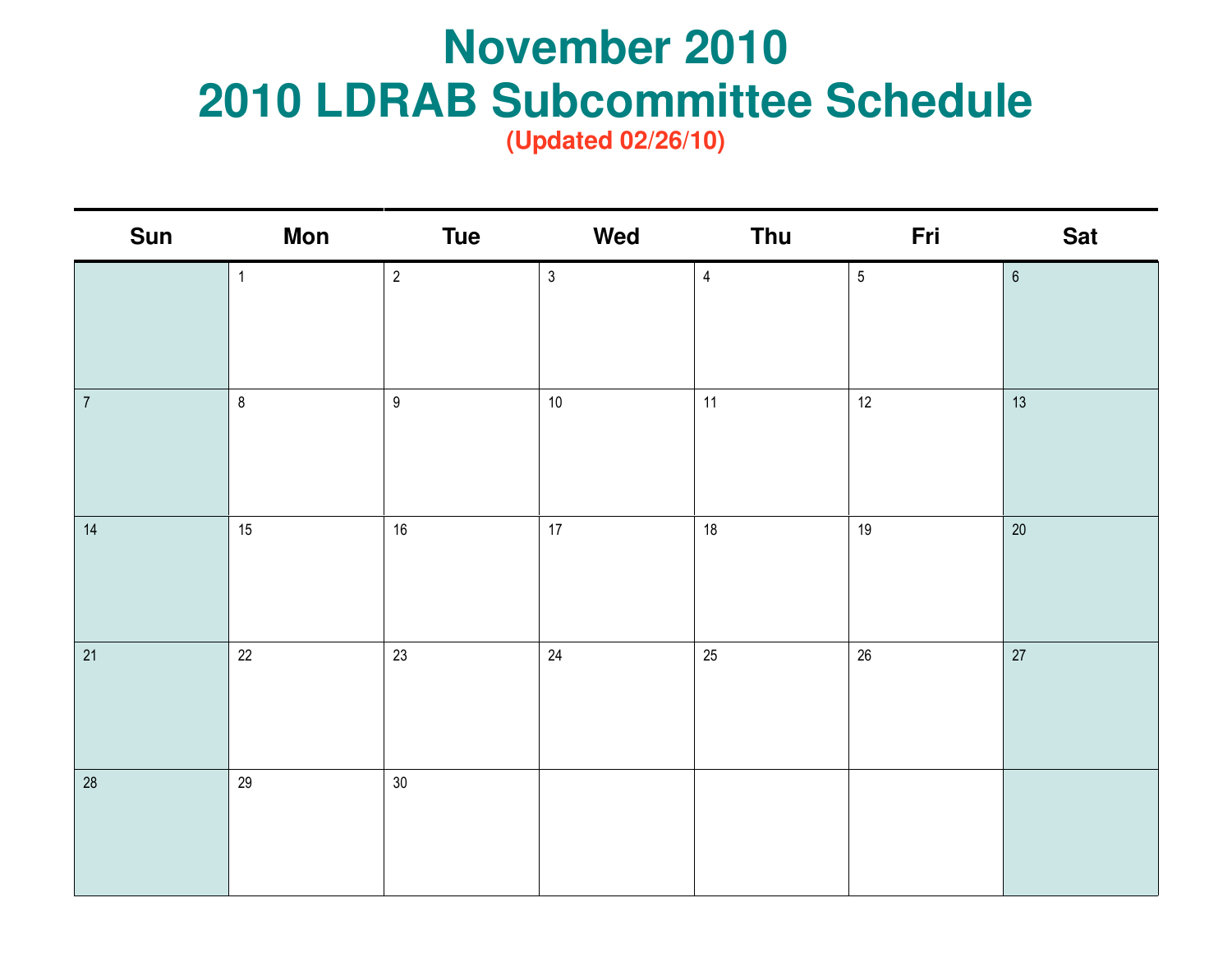#### **R** Subcommitted **November 2010 2010 LDRAB Subcommittee Schedule**

| <b>Sun</b>     | <b>Mon</b>   | <b>Tue</b>       | Wed          | Thu                     | Fri        | <b>Sat</b> |
|----------------|--------------|------------------|--------------|-------------------------|------------|------------|
|                | $\mathbf{1}$ | $\overline{2}$   | $\mathbf{3}$ | $\overline{\mathbf{4}}$ | $\sqrt{5}$ | $\,6\,$    |
| $\overline{7}$ | $\bf 8$      | $\boldsymbol{9}$ | $10\,$       | 11                      | 12         | 13         |
| $14$           | 15           | 16               | 17           | 18                      | $19$       | $20\,$     |
| 21             | 22           | 23               | $24\,$       | 25                      | $26\,$     | 27         |
| 28             | 29           | 30               |              |                         |            |            |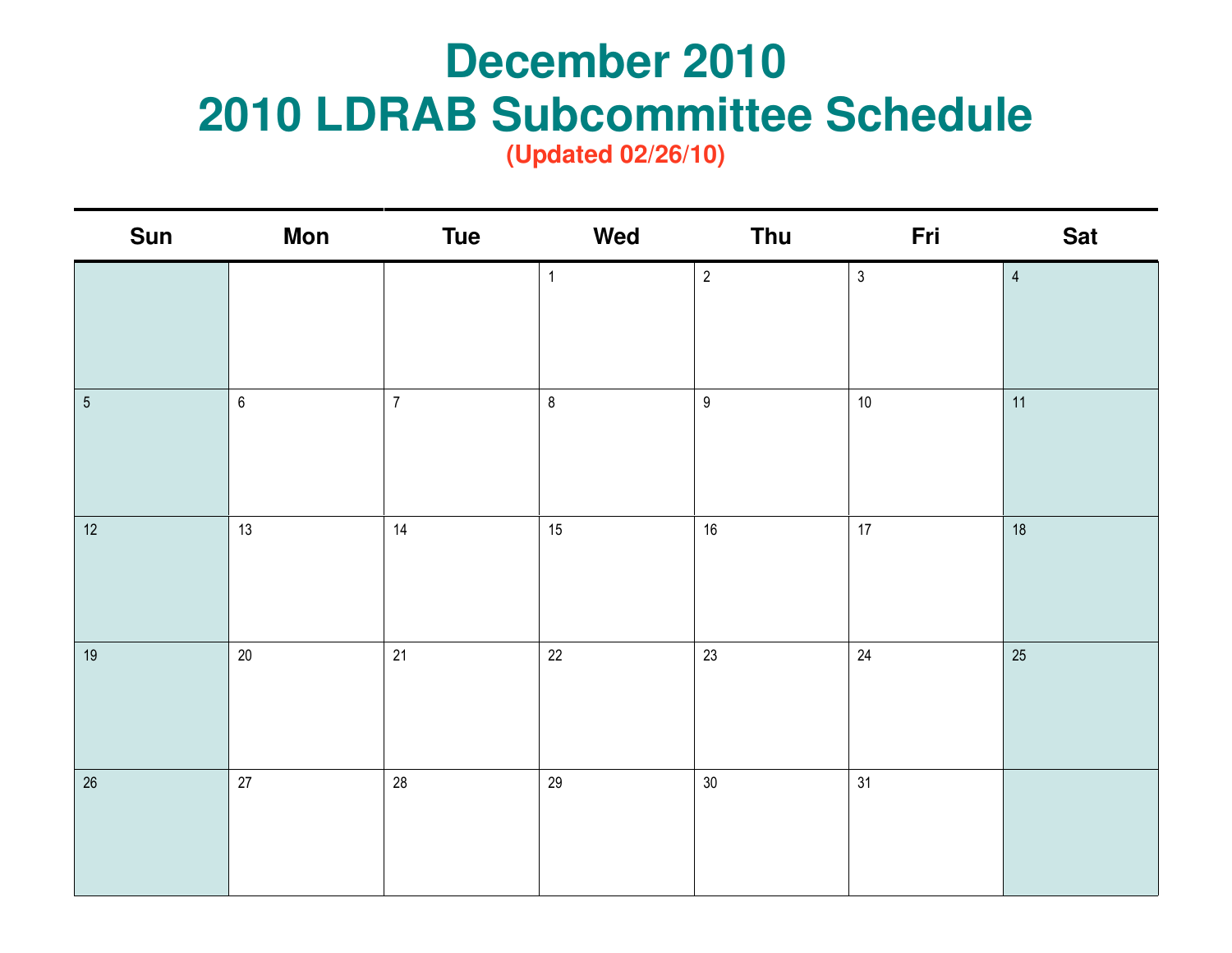## **December 2010 December 2010 2010 LDRAB Subcommittee Schedule**

| <b>Sun</b>     | <b>Mon</b> | <b>Tue</b>     | Wed          | Thu              | Fri            | <b>Sat</b>     |
|----------------|------------|----------------|--------------|------------------|----------------|----------------|
|                |            |                | $\mathbf{1}$ | $\overline{2}$   | $\mathfrak{Z}$ | $\overline{4}$ |
| $\overline{5}$ | $\,6\,$    | $\overline{7}$ | $\bf 8$      | $\boldsymbol{9}$ | $10$           | 11             |
|                |            |                |              |                  |                |                |
| 12             | 13         | 14             | 15           | 16               | 17             | 18             |
| $19$           | $20\,$     | 21             | 22           | 23               | $24\,$         | 25             |
| $26\,$         | $27\,$     | 28             | 29           | $30\,$           | 31             |                |